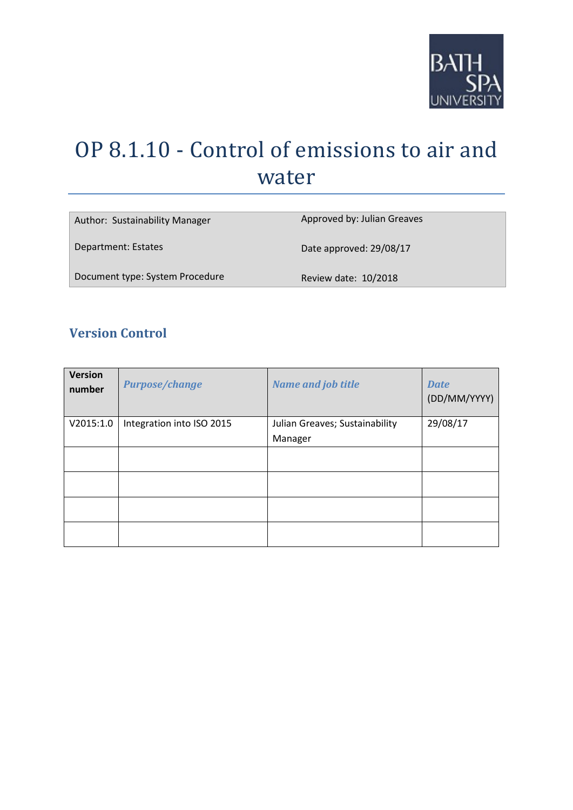

# OP 8.1.10 - Control of emissions to air and water

| Author: Sustainability Manager  | Approved by: Julian Greaves |
|---------------------------------|-----------------------------|
| Department: Estates             | Date approved: 29/08/17     |
| Document type: System Procedure | Review date: 10/2018        |

# **Version Control**

| <b>Version</b><br>number | <b>Purpose/change</b>     | <b>Name and job title</b>                 | <b>Date</b><br>(DD/MM/YYYY) |
|--------------------------|---------------------------|-------------------------------------------|-----------------------------|
| V2015:1.0                | Integration into ISO 2015 | Julian Greaves; Sustainability<br>Manager | 29/08/17                    |
|                          |                           |                                           |                             |
|                          |                           |                                           |                             |
|                          |                           |                                           |                             |
|                          |                           |                                           |                             |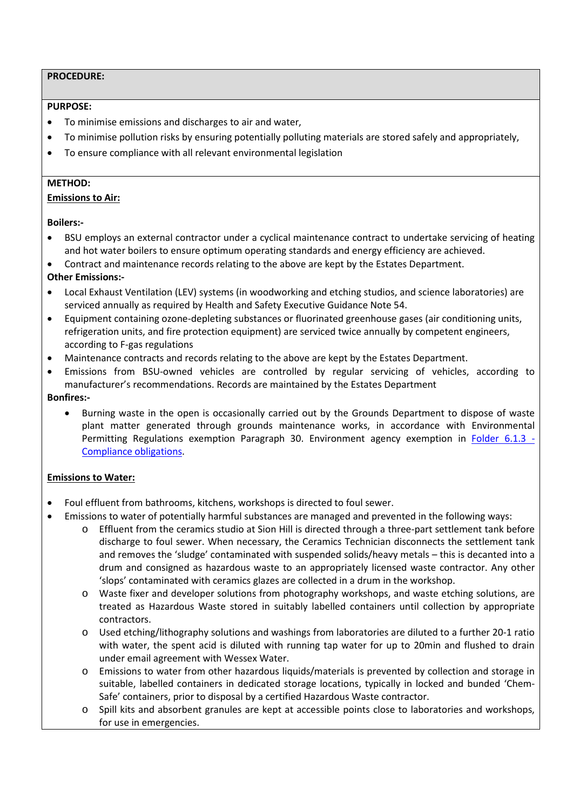# **PROCEDURE:**

#### **PURPOSE:**

- To minimise emissions and discharges to air and water,
- To minimise pollution risks by ensuring potentially polluting materials are stored safely and appropriately,
- To ensure compliance with all relevant environmental legislation

### **METHOD:**

# **Emissions to Air:**

#### **Boilers:-**

- BSU employs an external contractor under a cyclical maintenance contract to undertake servicing of heating and hot water boilers to ensure optimum operating standards and energy efficiency are achieved.
- Contract and maintenance records relating to the above are kept by the Estates Department.

# **Other Emissions:-**

- Local Exhaust Ventilation (LEV) systems (in woodworking and etching studios, and science laboratories) are serviced annually as required by Health and Safety Executive Guidance Note 54.
- Equipment containing ozone-depleting substances or fluorinated greenhouse gases (air conditioning units, refrigeration units, and fire protection equipment) are serviced twice annually by competent engineers, according to F-gas regulations
- Maintenance contracts and records relating to the above are kept by the Estates Department.
- Emissions from BSU-owned vehicles are controlled by regular servicing of vehicles, according to manufacturer's recommendations. Records are maintained by the Estates Department

# **Bonfires:-**

• Burning waste in the open is occasionally carried out by the Grounds Department to dispose of waste plant matter generated through grounds maintenance works, in accordance with Environmental Permitting Regulations exemption Paragraph 30. Environment agency exemption in [Folder 6.1.3 -](file://bathspa.ac.uk/staff1/property/Energy%20&%20Environment/ISO%2014001%20_%20EcoCampus/ISO14001-2015/6%20-%20Planning%20-%20inc%20compliance/6.1%20-%20Actions%20to%20address%20risks%20and%20oppurtunites/6.1.3%20-%20Compliance%20obligations) [Compliance obligations.](file://bathspa.ac.uk/staff1/property/Energy%20&%20Environment/ISO%2014001%20_%20EcoCampus/ISO14001-2015/6%20-%20Planning%20-%20inc%20compliance/6.1%20-%20Actions%20to%20address%20risks%20and%20oppurtunites/6.1.3%20-%20Compliance%20obligations)

# **Emissions to Water:**

- Foul effluent from bathrooms, kitchens, workshops is directed to foul sewer.
- Emissions to water of potentially harmful substances are managed and prevented in the following ways:
	- o Effluent from the ceramics studio at Sion Hill is directed through a three-part settlement tank before discharge to foul sewer. When necessary, the Ceramics Technician disconnects the settlement tank and removes the 'sludge' contaminated with suspended solids/heavy metals – this is decanted into a drum and consigned as hazardous waste to an appropriately licensed waste contractor. Any other 'slops' contaminated with ceramics glazes are collected in a drum in the workshop.
	- o Waste fixer and developer solutions from photography workshops, and waste etching solutions, are treated as Hazardous Waste stored in suitably labelled containers until collection by appropriate contractors.
	- o Used etching/lithography solutions and washings from laboratories are diluted to a further 20-1 ratio with water, the spent acid is diluted with running tap water for up to 20min and flushed to drain under email agreement with Wessex Water.
	- o Emissions to water from other hazardous liquids/materials is prevented by collection and storage in suitable, labelled containers in dedicated storage locations, typically in locked and bunded 'Chem-Safe' containers, prior to disposal by a certified Hazardous Waste contractor.
	- o Spill kits and absorbent granules are kept at accessible points close to laboratories and workshops, for use in emergencies.